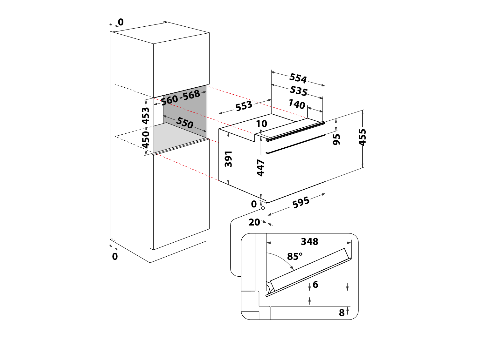